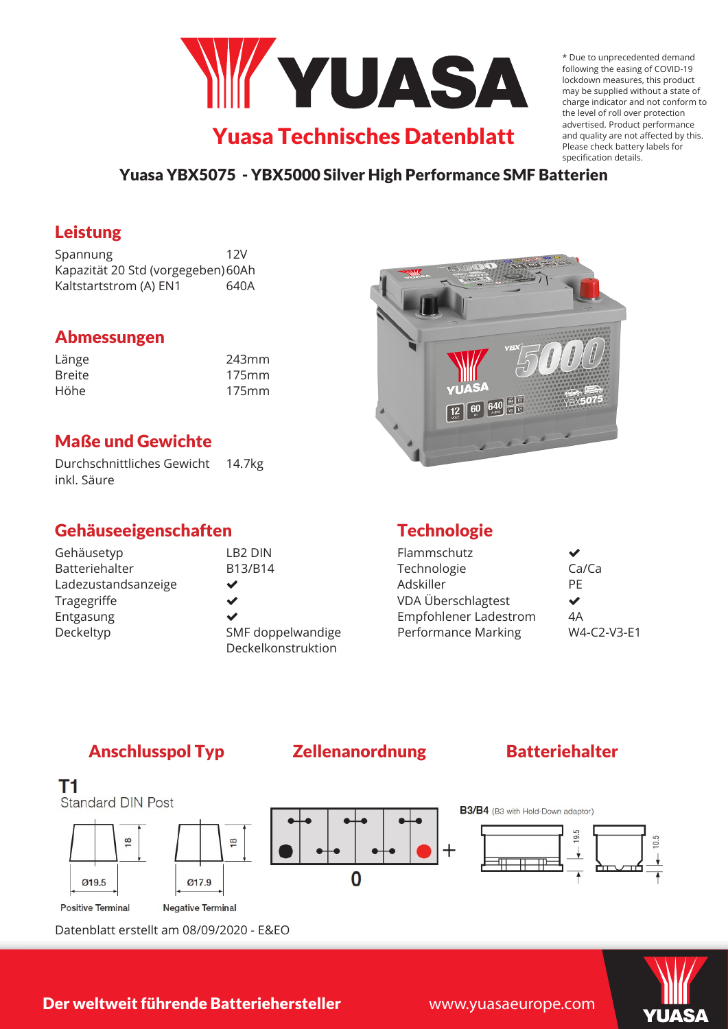

\* Due to unprecedented demand following the easing of COVID-19 lockdown measures, this product may be supplied without a state of charge indicator and not conform to the level of roll over protection advertised. Product performance and quality are not affected by this. Please check battery labels for specification details.

## Yuasa YBX5075 - YBX5000 Silver High Performance SMF Batterien

## Leistung

Spannung 12V Kapazität 20 Std (vorgegeben)60Ah Kaltstartstrom (A) EN1 640A

# Abmessungen

| Länge         | 243mm |
|---------------|-------|
| <b>Breite</b> | 175mm |
| Höhe          | 175mm |

# Maße und Gewichte

Durchschnittliches Gewicht 14.7kg inkl. Säure

# Gehäuseeigenschaften

| Gehäusetyp          | LB <sub>2</sub> DIN |
|---------------------|---------------------|
| Batteriehalter      | B13/B14             |
| Ladezustandsanzeige | ✔                   |
| Tragegriffe         | ✔                   |
| Entgasung           | ✔                   |
| Deckeltyp           | SMF doppelwandige   |
|                     | Deckelkonstruktion  |



# **Technologie**

| Ca/Ca       |
|-------------|
| PF          |
| ✔           |
| 4A          |
| W4-C2-V3-E1 |
|             |

# Anschlusspol Typ Zellenanordnung Batteriehalter



Datenblatt erstellt am 08/09/2020 - E&EO

## Der weltweit führende Batteriehersteller